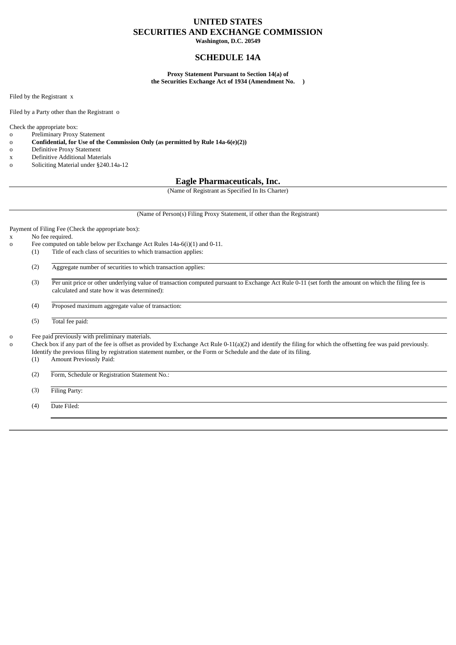### **UNITED STATES SECURITIES AND EXCHANGE COMMISSION**

**Washington, D.C. 20549**

### **SCHEDULE 14A**

**Proxy Statement Pursuant to Section 14(a) of the Securities Exchange Act of 1934 (Amendment No. )**

Filed by the Registrant x

Filed by a Party other than the Registrant o

Check the appropriate box:

#### o Preliminary Proxy Statement

o **Confidential, for Use of the Commission Only (as permitted by Rule 14a-6(e)(2))**

- o Definitive Proxy Statement
- x Definitive Additional Materials
- o Soliciting Material under §240.14a-12

### **Eagle Pharmaceuticals, Inc.**

(Name of Registrant as Specified In Its Charter)

(Name of Person(s) Filing Proxy Statement, if other than the Registrant)

Payment of Filing Fee (Check the appropriate box):

#### x No fee required.

- o Fee computed on table below per Exchange Act Rules 14a-6(i)(1) and 0-11.
	- (1) Title of each class of securities to which transaction applies:
		- (2) Aggregate number of securities to which transaction applies:
		- (3) Per unit price or other underlying value of transaction computed pursuant to Exchange Act Rule 0-11 (set forth the amount on which the filing fee is calculated and state how it was determined):
		- (4) Proposed maximum aggregate value of transaction:
		- (5) Total fee paid:

o Fee paid previously with preliminary materials.

o Check box if any part of the fee is offset as provided by Exchange Act Rule 0-11(a)(2) and identify the filing for which the offsetting fee was paid previously. Identify the previous filing by registration statement number, or the Form or Schedule and the date of its filing.

(1) Amount Previously Paid:

(2) Form, Schedule or Registration Statement No.:

(3) Filing Party:

(4) Date Filed: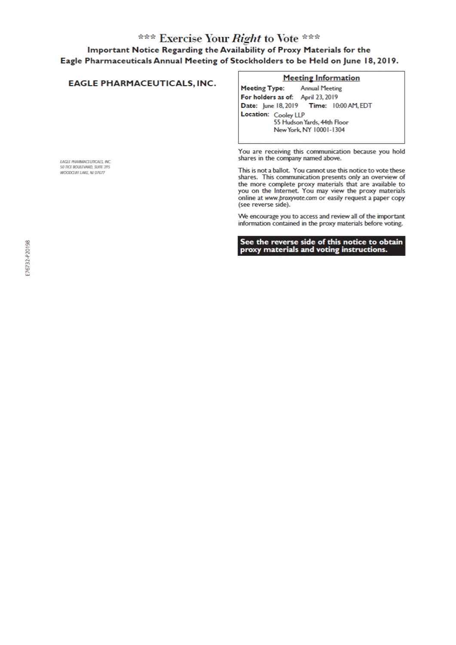# \*\*\* Exercise Your Right to Vote \*\*\* Important Notice Regarding the Availability of Proxy Materials for the Eagle Pharmaceuticals Annual Meeting of Stockholders to be Held on June 18, 2019.

### **EAGLE PHARMACEUTICALS, INC.**

EAGLE PHARMACEUTICALS, INC. 50 TKE BOULEVARD, SUITE 215

WOODCLIFF LAKE, NJ 07677

### **Meeting Information**

**Meeting Type: Annual Meeting** For holders as of: April 23, 2019 Date: June 18, 2019 Time: 10:00 AM, EDT Location: Cooley LLP 55 Hudson Yards, 44th Floor New York, NY 10001-1304

You are receiving this communication because you hold shares in the company named above.

This is not a ballot. You cannot use this notice to vote these shares. This communication presents only an overview of the more complete proxy materials that are available to<br>you on the Internet. You may view the proxy materials online at www.proxyvote.com or easily request a paper copy (see reverse side).

We encourage you to access and review all of the important information contained in the proxy materials before voting.

See the reverse side of this notice to obtain<br>proxy materials and voting instructions.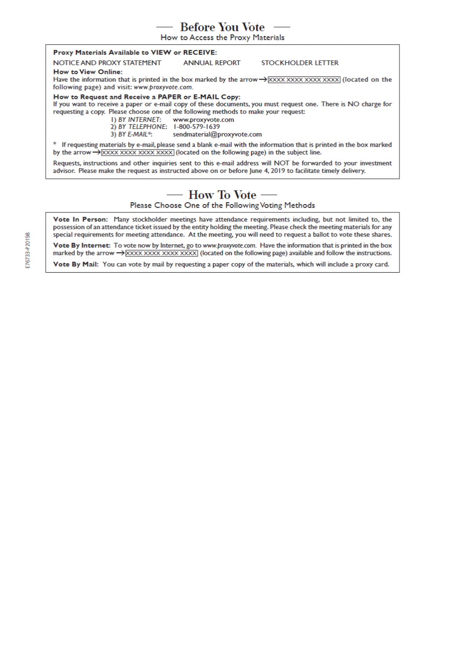# **Before You Vote**

How to Access the Proxy Materials

#### Proxy Materials Available to VIEW or RECEIVE:

NOTICE AND PROXY STATEMENT **ANNUAL REPORT STOCKHOLDER LETTER How to View Online:** 

Have the information that is printed in the box marked by the arrow  $\rightarrow$  XXXX XXXX XXXX XXXX (located on the following page) and visit: www.proxyvote.com.

How to Request and Receive a PAPER or E-MAIL Copy:

If you want to receive a paper or e-mail copy of these documents, you must request one. There is NO charge for requesting a copy. Please choose one of the following methods to make your request:

> I) BY INTERNET: www.proxyvote.com

2) BY TELEPHONE: 1-800-579-1639

3) BY E-MAIL\*: sendmaterial@proxyvote.com

\* If requesting materials by e-mail, please send a blank e-mail with the information that is printed in the box marked by the arrow  $\rightarrow$  XXXX XXXX XXXX XXXX (located on the following page) in the subject line.

Requests, instructions and other inquiries sent to this e-mail address will NOT be forwarded to your investment advisor. Please make the request as instructed above on or before June 4, 2019 to facilitate timely delivery.

# — How To Vote —

Please Choose One of the Following Voting Methods

Vote In Person: Many stockholder meetings have attendance requirements including, but not limited to, the possession of an attendance ticket issued by the entity holding the meeting. Please check the meeting materials for any special requirements for meeting attendance. At the meeting, you will need to request a ballot to vote these shares.

Vote By Internet: To vote now by Internet, go to www.proxyvote.com. Have the information that is printed in the box marked by the arrow  $\rightarrow$   $\overline{X}$  $\overline{X}$  $\overline{X}$  $\overline{X}$  $\overline{X}$  $\overline{X}$  $\overline{X}$  $\overline{X}$  $\overline{X}$  $\overline{X}$  $\overline{X}$  $\overline{X}$  $\overline{X}$  $\overline{X}$  $\overline{X}$  $\overline{X}$  $\overline{X}$  $\overline{X}$  $\overline{X}$  $\overline{X}$  $\overline{X}$  $\overline{X}$  $\overline{X}$  $\overline{X}$  $\overline$ 

Vote By Mail: You can vote by mail by requesting a paper copy of the materials, which will include a proxy card.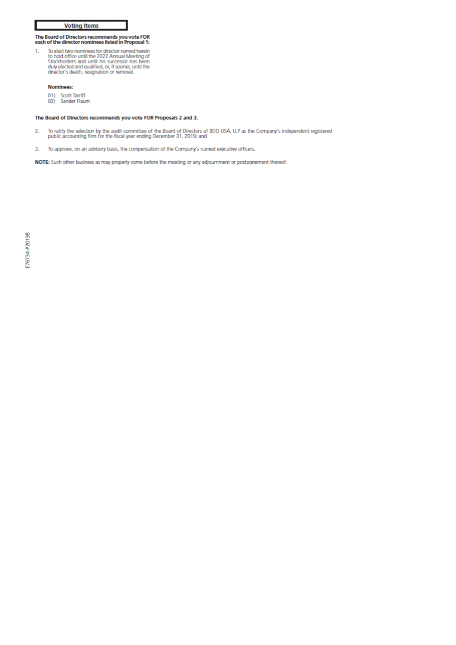### **Voting Items**

# The Board of Directors recommends you vote FOR<br>each of the director nominees listed in Proposal 1:

To elect two nominees for director named herein<br>to hold office until the 2022 Annual Meeting of<br>Stockholders and until his successor has been<br>duly elected and qualified, or, if sooner, until the<br>director's death, resignati 1.

### Nominees:

- 01) Scott Tarriff<br>02) Sander Flaum
- 

#### The Board of Directors recommends you vote FOR Proposals 2 and 3.

- To ratify the selection by the audit committee of the Board of Directors of BDO USA, LLP as the Company's independent registered<br>public accounting firm for the fiscal year ending December 31, 2019; and  $\overline{2}$
- $\overline{3}$ . To approve, on an advisory basis, the compensation of the Company's named executive officers.

NOTE: Such other business as may properly come before the meeting or any adjournment or postponement thereof.